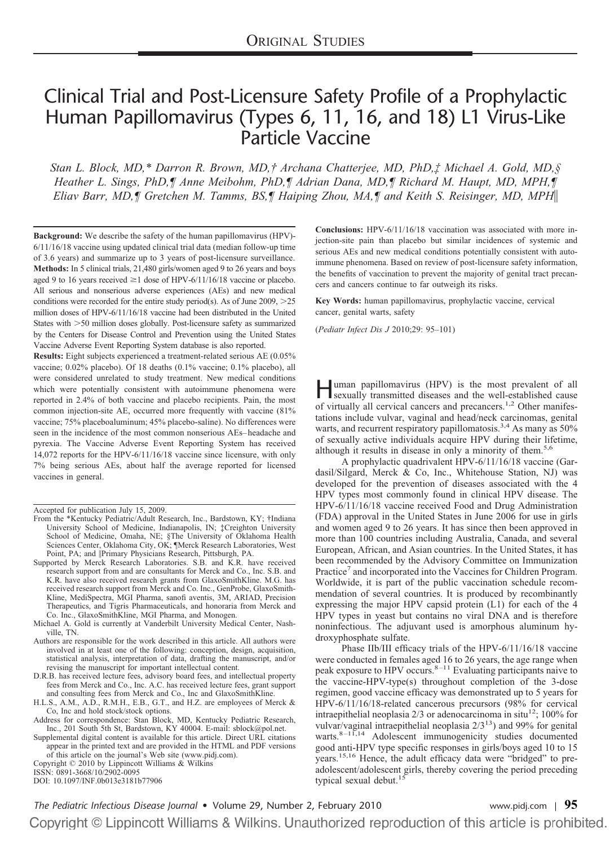# Clinical Trial and Post-Licensure Safety Profile of a Prophylactic Human Papillomavirus (Types 6, 11, 16, and 18) L1 Virus-Like Particle Vaccine

*Stan L. Block, MD,\* Darron R. Brown, MD,† Archana Chatterjee, MD, PhD,‡ Michael A. Gold, MD,§ Heather L. Sings, PhD,¶ Anne Meibohm, PhD,¶ Adrian Dana, MD,¶ Richard M. Haupt, MD, MPH,¶ Eliav Barr, MD,¶ Gretchen M. Tamms, BS,¶ Haiping Zhou, MA,¶ and Keith S. Reisinger, MD, MPH*

**Background:** We describe the safety of the human papillomavirus (HPV)- 6/11/16/18 vaccine using updated clinical trial data (median follow-up time of 3.6 years) and summarize up to 3 years of post-licensure surveillance. **Methods:** In 5 clinical trials, 21,480 girls/women aged 9 to 26 years and boys aged 9 to 16 years received  $\geq$ 1 dose of HPV-6/11/16/18 vaccine or placebo. All serious and nonserious adverse experiences (AEs) and new medical conditions were recorded for the entire study period(s). As of June 2009,  $>25$ million doses of HPV-6/11/16/18 vaccine had been distributed in the United States with 50 million doses globally. Post-licensure safety as summarized by the Centers for Disease Control and Prevention using the United States Vaccine Adverse Event Reporting System database is also reported.

**Results:** Eight subjects experienced a treatment-related serious AE (0.05% vaccine; 0.02% placebo). Of 18 deaths (0.1% vaccine; 0.1% placebo), all were considered unrelated to study treatment. New medical conditions which were potentially consistent with autoimmune phenomena were reported in 2.4% of both vaccine and placebo recipients. Pain, the most common injection-site AE, occurred more frequently with vaccine (81% vaccine; 75% placeboaluminum; 45% placebo-saline). No differences were seen in the incidence of the most common nonserious AEs–headache and pyrexia. The Vaccine Adverse Event Reporting System has received 14,072 reports for the HPV-6/11/16/18 vaccine since licensure, with only 7% being serious AEs, about half the average reported for licensed vaccines in general.

Accepted for publication July 15, 2009.

- From the \*Kentucky Pediatric/Adult Research, Inc., Bardstown, KY; †Indiana University School of Medicine, Indianapolis, IN; ‡Creighton University School of Medicine, Omaha, NE; §The University of Oklahoma Health Sciences Center, Oklahoma City, OK; ¶Merck Research Laboratories, West Point, PA; and ||Primary Physicians Research, Pittsburgh, PA.
- Supported by Merck Research Laboratories. S.B. and K.R. have received research support from and are consultants for Merck and Co., Inc. S.B. and K.R. have also received research grants from GlaxoSmithKline. M.G. has received research support from Merck and Co. Inc., GenProbe, GlaxoSmith-Kline, MediSpectra, MGI Pharma, sanofi aventis, 3M, ARIAD, Precision Therapeutics, and Tigris Pharmaceuticals, and honoraria from Merck and Co. Inc., GlaxoSmithKline, MGI Pharma, and Monogen.
- Michael A. Gold is currently at Vanderbilt University Medical Center, Nashville, TN.
- Authors are responsible for the work described in this article. All authors were involved in at least one of the following: conception, design, acquisition, statistical analysis, interpretation of data, drafting the manuscript, and/or revising the manuscript for important intellectual content.
- D.R.B. has received lecture fees, advisory board fees, and intellectual property fees from Merck and Co., Inc. A.C. has received lecture fees, grant support and consulting fees from Merck and Co., Inc and GlaxoSmithKline.
- H.L.S., A.M., A.D., R.M.H., E.B., G.T., and H.Z. are employees of Merck & Co, Inc and hold stock/stock options.
- Address for correspondence: Stan Block, MD, Kentucky Pediatric Research, Inc., 201 South 5th St, Bardstown, KY 40004. E-mail: sblock@pol.net.
- Supplemental digital content is available for this article. Direct URL citations appear in the printed text and are provided in the HTML and PDF versions of this article on the journal's Web site (www.pidj.com).

Copyright © 2010 by Lippincott Williams & Wilkins

ISSN: 0891-3668/10/2902-0095

DOI: 10.1097/INF.0b013e3181b77906

**Conclusions:** HPV-6/11/16/18 vaccination was associated with more injection-site pain than placebo but similar incidences of systemic and serious AEs and new medical conditions potentially consistent with autoimmune phenomena. Based on review of post-licensure safety information, the benefits of vaccination to prevent the majority of genital tract precancers and cancers continue to far outweigh its risks.

**Key Words:** human papillomavirus, prophylactic vaccine, cervical cancer, genital warts, safety

(*Pediatr Infect Dis J* 2010;29: 95–101)

**Human papillomavirus (HPV) is the most prevalent of all sexually transmitted diseases and the well-established cause** of virtually all cervical cancers and precancers.<sup>1,2</sup> Other manifestations include vulvar, vaginal and head/neck carcinomas, genital warts, and recurrent respiratory papillomatosis.<sup>3,4</sup> As many as 50% of sexually active individuals acquire HPV during their lifetime, although it results in disease in only a minority of them.<sup>5,6</sup>

A prophylactic quadrivalent HPV-6/11/16/18 vaccine (Gardasil/Silgard, Merck & Co, Inc., Whitehouse Station, NJ) was developed for the prevention of diseases associated with the 4 HPV types most commonly found in clinical HPV disease. The HPV-6/11/16/18 vaccine received Food and Drug Administration (FDA) approval in the United States in June 2006 for use in girls and women aged 9 to 26 years. It has since then been approved in more than 100 countries including Australia, Canada, and several European, African, and Asian countries. In the United States, it has been recommended by the Advisory Committee on Immunization Practice<sup>7</sup> and incorporated into the Vaccines for Children Program. Worldwide, it is part of the public vaccination schedule recommendation of several countries. It is produced by recombinantly expressing the major HPV capsid protein (L1) for each of the 4 HPV types in yeast but contains no viral DNA and is therefore noninfectious. The adjuvant used is amorphous aluminum hydroxyphosphate sulfate.

Phase IIb/III efficacy trials of the HPV-6/11/16/18 vaccine were conducted in females aged 16 to 26 years, the age range when peak exposure to HPV occurs.8–11 Evaluating participants naive to the vaccine-HPV-type(s) throughout completion of the 3-dose regimen, good vaccine efficacy was demonstrated up to 5 years for HPV-6/11/16/18-related cancerous precursors (98% for cervical intraepithelial neoplasia  $2/3$  or adenocarcinoma in situ<sup>12</sup>; 100% for vulvar/vaginal intraepithelial neoplasia 2/313) and 99% for genital warts.<sup>8–11,14</sup> Adolescent immunogenicity studies documented good anti-HPV type specific responses in girls/boys aged 10 to 15 years.15,16 Hence, the adult efficacy data were "bridged" to preadolescent/adolescent girls, thereby covering the period preceding typical sexual debut.<sup>1</sup>

*The Pediatric Infectious Disease Journal* • Volume 29, Number 2, February 2010 [www.pidj.com](http://www.pidj.com) <sup>|</sup> **95**Copyright © Lippincott Williams & Wilkins. Unauthorized reproduction of this article is prohibited.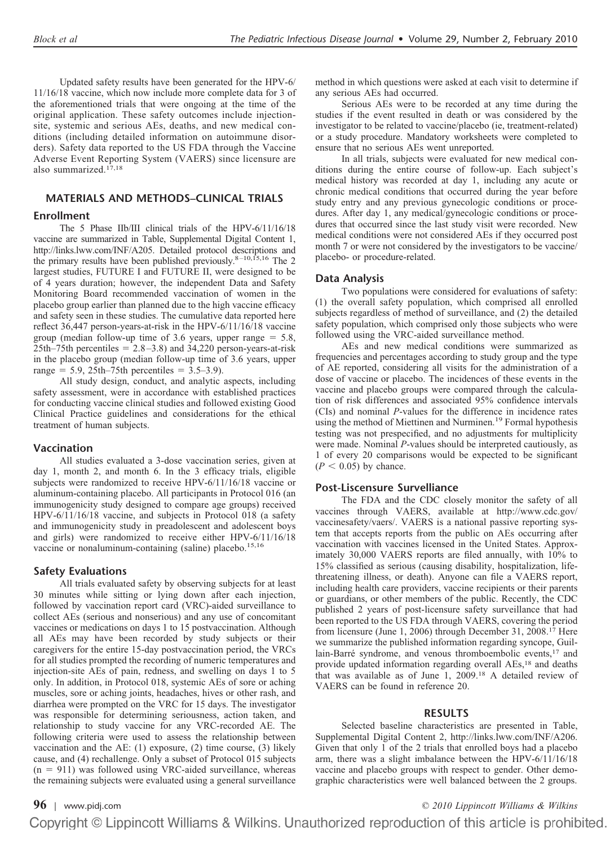Updated safety results have been generated for the HPV-6/ 11/16/18 vaccine, which now include more complete data for 3 of the aforementioned trials that were ongoing at the time of the original application. These safety outcomes include injectionsite, systemic and serious AEs, deaths, and new medical conditions (including detailed information on autoimmune disorders). Safety data reported to the US FDA through the Vaccine Adverse Event Reporting System (VAERS) since licensure are also summarized.17,18

## **MATERIALS AND METHODS–CLINICAL TRIALS**

### **Enrollment**

The 5 Phase IIb/III clinical trials of the HPV-6/11/16/18 vaccine are summarized in Table, Supplemental Digital Content 1, http://links.lww.com/INF/A205. Detailed protocol descriptions and the primary results have been published previously.<sup>8-10,15,16</sup> The 2 largest studies, FUTURE I and FUTURE II, were designed to be of 4 years duration; however, the independent Data and Safety Monitoring Board recommended vaccination of women in the placebo group earlier than planned due to the high vaccine efficacy and safety seen in these studies. The cumulative data reported here reflect 36,447 person-years-at-risk in the HPV-6/11/16/18 vaccine group (median follow-up time of 3.6 years, upper range  $= 5.8$ ,  $25th-75th$  percentiles = 2.8–3.8) and 34,220 person-years-at-risk in the placebo group (median follow-up time of 3.6 years, upper  $range = 5.9, 25th-75th$  percentiles = 3.5-3.9).

All study design, conduct, and analytic aspects, including safety assessment, were in accordance with established practices for conducting vaccine clinical studies and followed existing Good Clinical Practice guidelines and considerations for the ethical treatment of human subjects.

### **Vaccination**

All studies evaluated a 3-dose vaccination series, given at day 1, month 2, and month 6. In the 3 efficacy trials, eligible subjects were randomized to receive HPV-6/11/16/18 vaccine or aluminum-containing placebo. All participants in Protocol 016 (an immunogenicity study designed to compare age groups) received HPV-6/11/16/18 vaccine, and subjects in Protocol 018 (a safety and immunogenicity study in preadolescent and adolescent boys and girls) were randomized to receive either HPV-6/11/16/18 vaccine or nonaluminum-containing (saline) placebo.<sup>15,16</sup>

## **Safety Evaluations**

All trials evaluated safety by observing subjects for at least 30 minutes while sitting or lying down after each injection, followed by vaccination report card (VRC)-aided surveillance to collect AEs (serious and nonserious) and any use of concomitant vaccines or medications on days 1 to 15 postvaccination. Although all AEs may have been recorded by study subjects or their caregivers for the entire 15-day postvaccination period, the VRCs for all studies prompted the recording of numeric temperatures and injection-site AEs of pain, redness, and swelling on days 1 to 5 only. In addition, in Protocol 018, systemic AEs of sore or aching muscles, sore or aching joints, headaches, hives or other rash, and diarrhea were prompted on the VRC for 15 days. The investigator was responsible for determining seriousness, action taken, and relationship to study vaccine for any VRC-recorded AE. The following criteria were used to assess the relationship between vaccination and the AE: (1) exposure, (2) time course, (3) likely cause, and (4) rechallenge. Only a subset of Protocol 015 subjects  $(n = 911)$  was followed using VRC-aided surveillance, whereas the remaining subjects were evaluated using a general surveillance

method in which questions were asked at each visit to determine if any serious AEs had occurred.

Serious AEs were to be recorded at any time during the studies if the event resulted in death or was considered by the investigator to be related to vaccine/placebo (ie, treatment-related) or a study procedure. Mandatory worksheets were completed to ensure that no serious AEs went unreported.

In all trials, subjects were evaluated for new medical conditions during the entire course of follow-up. Each subject's medical history was recorded at day 1, including any acute or chronic medical conditions that occurred during the year before study entry and any previous gynecologic conditions or procedures. After day 1, any medical/gynecologic conditions or procedures that occurred since the last study visit were recorded. New medical conditions were not considered AEs if they occurred post month 7 or were not considered by the investigators to be vaccine/ placebo- or procedure-related.

## **Data Analysis**

Two populations were considered for evaluations of safety: (1) the overall safety population, which comprised all enrolled subjects regardless of method of surveillance, and (2) the detailed safety population, which comprised only those subjects who were followed using the VRC-aided surveillance method.

AEs and new medical conditions were summarized as frequencies and percentages according to study group and the type of AE reported, considering all visits for the administration of a dose of vaccine or placebo. The incidences of these events in the vaccine and placebo groups were compared through the calculation of risk differences and associated 95% confidence intervals (CIs) and nominal *P*-values for the difference in incidence rates using the method of Miettinen and Nurminen.<sup>19</sup> Formal hypothesis testing was not prespecified, and no adjustments for multiplicity were made. Nominal *P*-values should be interpreted cautiously, as 1 of every 20 comparisons would be expected to be significant  $(P < 0.05)$  by chance.

### **Post-Liscensure Survelliance**

The FDA and the CDC closely monitor the safety of all vaccines through VAERS, available at http://www.cdc.gov/ vaccinesafety/vaers/. VAERS is a national passive reporting system that accepts reports from the public on AEs occurring after vaccination with vaccines licensed in the United States. Approximately 30,000 VAERS reports are filed annually, with 10% to 15% classified as serious (causing disability, hospitalization, lifethreatening illness, or death). Anyone can file a VAERS report, including health care providers, vaccine recipients or their parents or guardians, or other members of the public. Recently, the CDC published 2 years of post-licensure safety surveillance that had been reported to the US FDA through VAERS, covering the period from licensure (June 1, 2006) through December 31, 2008.17 Here we summarize the published information regarding syncope, Guillain-Barré syndrome, and venous thromboembolic events,17 and provide updated information regarding overall AEs,<sup>18</sup> and deaths that was available as of June 1, 2009.18 A detailed review of VAERS can be found in reference 20.

### **RESULTS**

Selected baseline characteristics are presented in Table, Supplemental Digital Content 2, http://links.lww.com/INF/A206. Given that only 1 of the 2 trials that enrolled boys had a placebo arm, there was a slight imbalance between the HPV-6/11/16/18 vaccine and placebo groups with respect to gender. Other demographic characteristics were well balanced between the 2 groups.

**96** | [www.pidj.com](http://www.pidj.com) *© 2010 Lippincott Williams & Wilkins*

Copyright © Lippincott Williams & Wilkins. Unauthorized reproduction of this article is prohibited.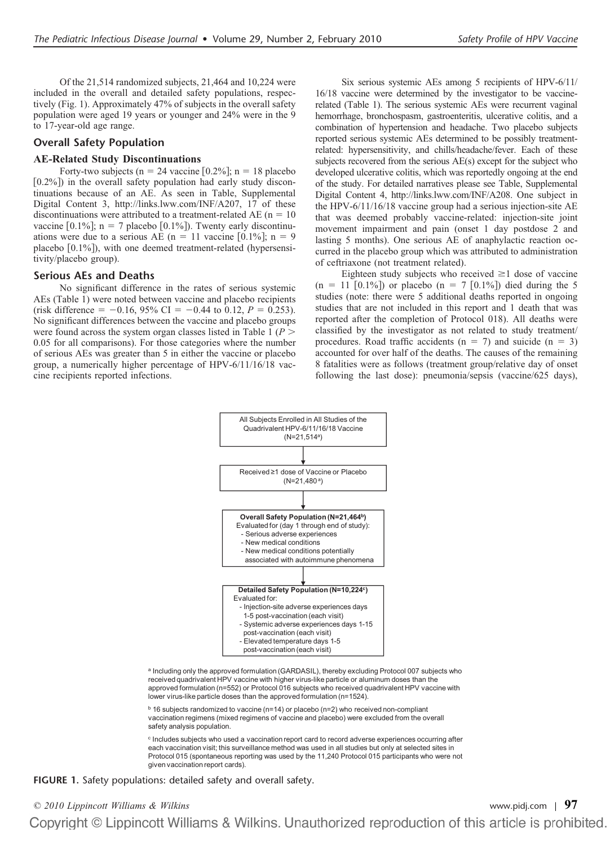Of the 21,514 randomized subjects, 21,464 and 10,224 were included in the overall and detailed safety populations, respectively (Fig. 1). Approximately 47% of subjects in the overall safety population were aged 19 years or younger and 24% were in the 9 to 17-year-old age range.

### **Overall Safety Population**

### **AE-Related Study Discontinuations**

Forty-two subjects ( $n = 24$  vaccine [0.2%];  $n = 18$  placebo [0.2%]) in the overall safety population had early study discontinuations because of an AE. As seen in Table, Supplemental Digital Content 3, http://links.lww.com/INF/A207, 17 of these discontinuations were attributed to a treatment-related AE ( $n = 10$ ) vaccine  $[0.1\%]$ ; n = 7 placebo  $[0.1\%]$ ). Twenty early discontinuations were due to a serious AE ( $n = 11$  vaccine [0.1%];  $n = 9$ placebo  $[0.1\%]$ ), with one deemed treatment-related (hypersensitivity/placebo group).

### **Serious AEs and Deaths**

No significant difference in the rates of serious systemic AEs (Table 1) were noted between vaccine and placebo recipients (risk difference =  $-0.16$ , 95% CI =  $-0.44$  to 0.12,  $P = 0.253$ ). No significant differences between the vaccine and placebo groups were found across the system organ classes listed in Table 1 (*P* 0.05 for all comparisons). For those categories where the number of serious AEs was greater than 5 in either the vaccine or placebo group, a numerically higher percentage of HPV-6/11/16/18 vaccine recipients reported infections.

Six serious systemic AEs among 5 recipients of HPV-6/11/ 16/18 vaccine were determined by the investigator to be vaccinerelated (Table 1). The serious systemic AEs were recurrent vaginal hemorrhage, bronchospasm, gastroenteritis, ulcerative colitis, and a combination of hypertension and headache. Two placebo subjects reported serious systemic AEs determined to be possibly treatmentrelated: hypersensitivity, and chills/headache/fever. Each of these subjects recovered from the serious AE(s) except for the subject who developed ulcerative colitis, which was reportedly ongoing at the end of the study. For detailed narratives please see Table, Supplemental Digital Content 4, http://links.lww.com/INF/A208. One subject in the HPV-6/11/16/18 vaccine group had a serious injection-site AE that was deemed probably vaccine-related: injection-site joint movement impairment and pain (onset 1 day postdose 2 and lasting 5 months). One serious AE of anaphylactic reaction occurred in the placebo group which was attributed to administration of ceftriaxone (not treatment related).

Eighteen study subjects who received  $\geq 1$  dose of vaccine  $(n = 11 [0.1\%])$  or placebo  $(n = 7 [0.1\%])$  died during the 5 studies (note: there were 5 additional deaths reported in ongoing studies that are not included in this report and 1 death that was reported after the completion of Protocol 018). All deaths were classified by the investigator as not related to study treatment/ procedures. Road traffic accidents  $(n = 7)$  and suicide  $(n = 3)$ accounted for over half of the deaths. The causes of the remaining 8 fatalities were as follows (treatment group/relative day of onset following the last dose): pneumonia/sepsis (vaccine/625 days),



a Including only the approved formulation (GARDASIL), thereby excluding Protocol 007 subjects who received quadrivalent HPV vaccine with higher virus-like particle or aluminum doses than the approved formulation (n=552) or Protocol 016 subjects who received quadrivalent HPV vaccine with lower virus-like particle doses than the approved formulation (n=1524).

 $b$  16 subjects randomized to vaccine (n=14) or placebo (n=2) who received non-compliant vaccination regimens (mixed regimens of vaccine and placebo) were excluded from the overall safety analysis population.

<sup>c</sup> Includes subjects who used a vaccination report card to record adverse experiences occurring after each vaccination visit; this surveillance method was used in all studies but only at selected sites in Protocol 015 (spontaneous reporting was used by the 11,240 Protocol 015 participants who were not given vaccination report cards).

## **FIGURE 1.** Safety populations: detailed safety and overall safety.

## *© 2010 Lippincott Williams & Wilkins* [www.pidj.com](http://www.pidj.com) <sup>|</sup> **97**Copyright © Lippincott Williams & Wilkins. Unauthorized reproduction of this article is prohibited.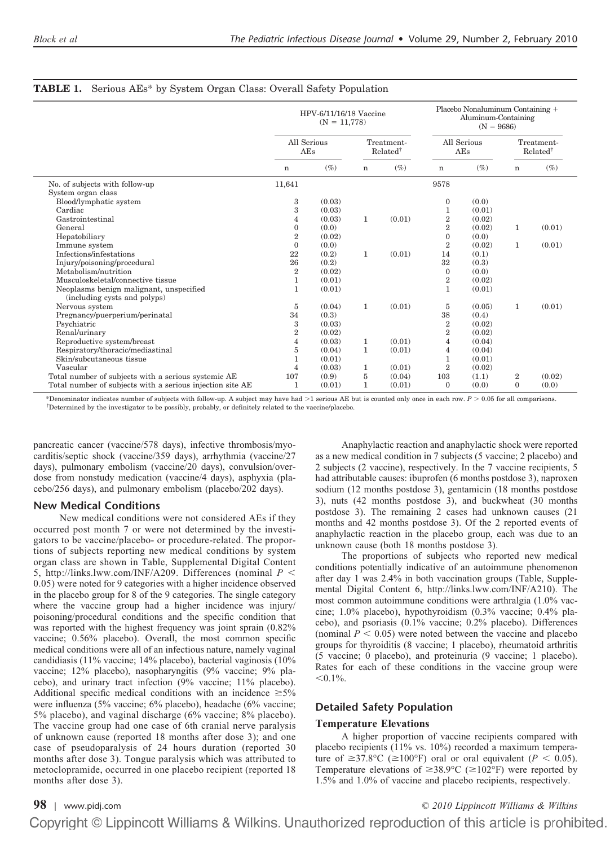|                                                                         | HPV-6/11/16/18 Vaccine<br>$(N = 11,778)$ |        |                                   |        | Placebo Nonaluminum Containing +<br>Aluminum-Containing<br>$(N = 9686)$ |        |                                   |        |
|-------------------------------------------------------------------------|------------------------------------------|--------|-----------------------------------|--------|-------------------------------------------------------------------------|--------|-----------------------------------|--------|
|                                                                         | All Serious<br>AEs                       |        | Treatment-<br>$Related^{\dagger}$ |        | All Serious<br>AEs                                                      |        | Treatment-<br>$Related^{\dagger}$ |        |
|                                                                         | n                                        | $(\%)$ | n                                 | $(\%)$ | n                                                                       | $(\%)$ | $\mathbf n$                       | $(\%)$ |
| No. of subjects with follow-up<br>System organ class                    | 11,641                                   |        |                                   |        | 9578                                                                    |        |                                   |        |
| Blood/lymphatic system                                                  | 3                                        | (0.03) |                                   |        | $\mathbf{0}$                                                            | (0.0)  |                                   |        |
| Cardiac                                                                 | 3                                        | (0.03) |                                   |        |                                                                         | (0.01) |                                   |        |
| Gastrointestinal                                                        | 4                                        | (0.03) | $\mathbf{1}$                      | (0.01) | $\boldsymbol{2}$                                                        | (0.02) |                                   |        |
| General                                                                 | $\Omega$                                 | (0.0)  |                                   |        | $\overline{2}$                                                          | (0.02) | $\mathbf{1}$                      | (0.01) |
| Hepatobiliary                                                           | $\overline{2}$                           | (0.02) |                                   |        | $\theta$                                                                | (0.0)  |                                   |        |
| Immune system                                                           | $\Omega$                                 | (0.0)  |                                   |        | $\overline{2}$                                                          | (0.02) | $\mathbf{1}$                      | (0.01) |
| Infections/infestations                                                 | 22                                       | (0.2)  | $\mathbf{1}$                      | (0.01) | 14                                                                      | (0.1)  |                                   |        |
| Injury/poisoning/procedural                                             | 26                                       | (0.2)  |                                   |        | 32                                                                      | (0.3)  |                                   |        |
| Metabolism/nutrition                                                    | $\overline{2}$                           | (0.02) |                                   |        | $\mathbf{0}$                                                            | (0.0)  |                                   |        |
| Musculoskeletal/connective tissue                                       | $\mathbf{1}$                             | (0.01) |                                   |        | $\,2$                                                                   | (0.02) |                                   |        |
| Neoplasms benign malignant, unspecified<br>(including cysts and polyps) | $\mathbf{1}$                             | (0.01) |                                   |        | 1                                                                       | (0.01) |                                   |        |
| Nervous system                                                          | 5                                        | (0.04) | $\mathbf{1}$                      | (0.01) | 5                                                                       | (0.05) | $\mathbf{1}$                      | (0.01) |
| Pregnancy/puerperium/perinatal                                          | 34                                       | (0.3)  |                                   |        | 38                                                                      | (0.4)  |                                   |        |
| Psychiatric                                                             | 3                                        | (0.03) |                                   |        | $\boldsymbol{2}$                                                        | (0.02) |                                   |        |
| Renal/urinary                                                           | $\overline{2}$                           | (0.02) |                                   |        | $\overline{2}$                                                          | (0.02) |                                   |        |
| Reproductive system/breast                                              | $\overline{4}$                           | (0.03) | 1                                 | (0.01) | 4                                                                       | (0.04) |                                   |        |
| Respiratory/thoracic/mediastinal                                        | 5                                        | (0.04) | $\mathbf{1}$                      | (0.01) | 4                                                                       | (0.04) |                                   |        |
| Skin/subcutaneous tissue                                                |                                          | (0.01) |                                   |        |                                                                         | (0.01) |                                   |        |
| Vascular                                                                | 4                                        | (0.03) | $\mathbf{1}$                      | (0.01) | $\boldsymbol{2}$                                                        | (0.02) |                                   |        |
| Total number of subjects with a serious systemic AE                     | 107                                      | (0.9)  | 5                                 | (0.04) | 103                                                                     | (1.1)  | $\boldsymbol{2}$                  | (0.02) |
| Total number of subjects with a serious injection site AE               | $\mathbf{1}$                             | (0.01) | 1                                 | (0.01) | $\Omega$                                                                | (0.0)  | $\theta$                          | (0.0)  |

## **TABLE 1.** Serious AEs\* by System Organ Class: Overall Safety Population

\*Denominator indicates number of subjects with follow-up. A subject may have had 1 serious AE but is counted only once in each row. *P* 0.05 for all comparisons. † Determined by the investigator to be possibly, probably, or definitely related to the vaccine/placebo.

pancreatic cancer (vaccine/578 days), infective thrombosis/myocarditis/septic shock (vaccine/359 days), arrhythmia (vaccine/27 days), pulmonary embolism (vaccine/20 days), convulsion/overdose from nonstudy medication (vaccine/4 days), asphyxia (placebo/256 days), and pulmonary embolism (placebo/202 days).

## **New Medical Conditions**

New medical conditions were not considered AEs if they occurred post month 7 or were not determined by the investigators to be vaccine/placebo- or procedure-related. The proportions of subjects reporting new medical conditions by system organ class are shown in Table, Supplemental Digital Content 5, http://links.lww.com/INF/A209. Differences (nominal *P* 0.05) were noted for 9 categories with a higher incidence observed in the placebo group for 8 of the 9 categories. The single category where the vaccine group had a higher incidence was injury/ poisoning/procedural conditions and the specific condition that was reported with the highest frequency was joint sprain (0.82% vaccine; 0.56% placebo). Overall, the most common specific medical conditions were all of an infectious nature, namely vaginal candidiasis (11% vaccine; 14% placebo), bacterial vaginosis (10% vaccine; 12% placebo), nasopharyngitis (9% vaccine; 9% placebo), and urinary tract infection (9% vaccine; 11% placebo). Additional specific medical conditions with an incidence  $\geq 5\%$ were influenza (5% vaccine; 6% placebo), headache (6% vaccine; 5% placebo), and vaginal discharge (6% vaccine; 8% placebo). The vaccine group had one case of 6th cranial nerve paralysis of unknown cause (reported 18 months after dose 3); and one case of pseudoparalysis of 24 hours duration (reported 30 months after dose 3). Tongue paralysis which was attributed to metoclopramide, occurred in one placebo recipient (reported 18 months after dose 3).

Anaphylactic reaction and anaphylactic shock were reported as a new medical condition in 7 subjects (5 vaccine; 2 placebo) and 2 subjects (2 vaccine), respectively. In the 7 vaccine recipients, 5 had attributable causes: ibuprofen (6 months postdose 3), naproxen sodium (12 months postdose 3), gentamicin (18 months postdose 3), nuts (42 months postdose 3), and buckwheat (30 months postdose 3). The remaining 2 cases had unknown causes (21 months and 42 months postdose 3). Of the 2 reported events of anaphylactic reaction in the placebo group, each was due to an unknown cause (both 18 months postdose 3).

The proportions of subjects who reported new medical conditions potentially indicative of an autoimmune phenomenon after day 1 was 2.4% in both vaccination groups (Table, Supplemental Digital Content 6, http://links.lww.com/INF/A210). The most common autoimmune conditions were arthralgia (1.0% vaccine; 1.0% placebo), hypothyroidism (0.3% vaccine; 0.4% placebo), and psoriasis (0.1% vaccine; 0.2% placebo). Differences (nominal  $P < 0.05$ ) were noted between the vaccine and placebo groups for thyroiditis (8 vaccine; 1 placebo), rheumatoid arthritis (5 vaccine; 0 placebo), and proteinuria (9 vaccine; 1 placebo). Rates for each of these conditions in the vaccine group were  $<$  0.1%

## **Detailed Safety Population**

## **Temperature Elevations**

A higher proportion of vaccine recipients compared with placebo recipients (11% vs. 10%) recorded a maximum temperature of  $\geq 37.8$ °C ( $\geq 100$ °F) oral or oral equivalent (*P* < 0.05). Temperature elevations of  $\geq 38.9^{\circ}$ C ( $\geq 102^{\circ}$ F) were reported by 1.5% and 1.0% of vaccine and placebo recipients, respectively.

**98** | [www.pidj.com](http://www.pidj.com) *© 2010 Lippincott Williams & Wilkins*Copyright © Lippincott Williams & Wilkins. Unauthorized reproduction of this article is prohibited.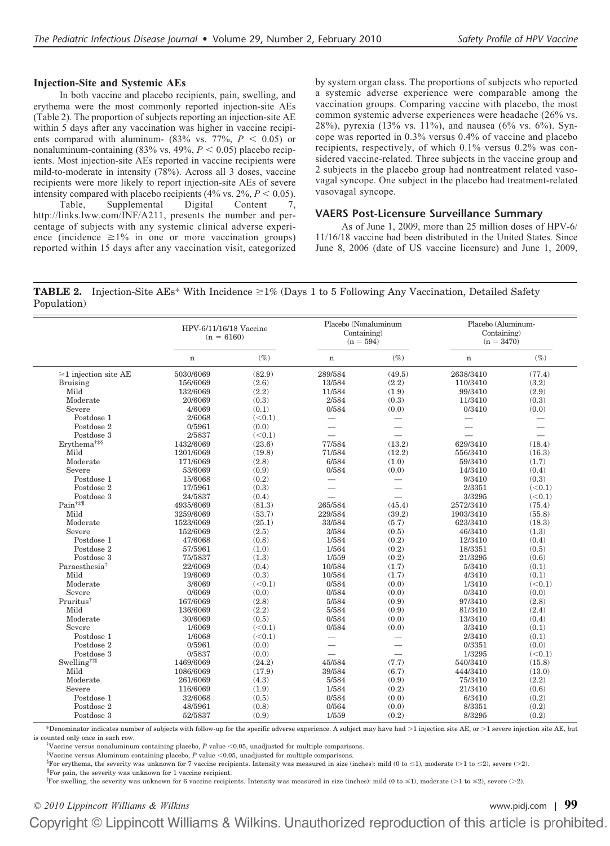### **Injection-Site and Systemic AEs**

In both vaccine and placebo recipients, pain, swelling, and erythema were the most commonly reported injection-site AEs (Table 2). The proportion of subjects reporting an injection-site AE within 5 days after any vaccination was higher in vaccine recipients compared with aluminum-  $(83\%$  vs.  $77\%$ ,  $P < 0.05$ ) or nonaluminum-containing (83% vs.  $49\%, P \le 0.05$ ) placebo recipients. Most injection-site AEs reported in vaccine recipients were mild-to-moderate in intensity (78%). Across all 3 doses, vaccine recipients were more likely to report injection-site AEs of severe intensity compared with placebo recipients  $(4\% \text{ vs. } 2\%, P \le 0.05)$ .

Table, Supplemental Digital Content 7, http://links.lww.com/INF/A211, presents the number and percentage of subjects with any systemic clinical adverse experience (incidence  $\geq 1\%$  in one or more vaccination groups) reported within 15 days after any vaccination visit, categorized by system organ class. The proportions of subjects who reported a systemic adverse experience were comparable among the vaccination groups. Comparing vaccine with placebo, the most common systemic adverse experiences were headache (26% vs. 28%), pyrexia (13% vs. 11%), and nausea (6% vs. 6%). Syncope was reported in 0.3% versus 0.4% of vaccine and placebo recipients, respectively, of which 0.1% versus 0.2% was considered vaccine-related. Three subjects in the vaccine group and 2 subjects in the placebo group had nontreatment related vasovagal syncope. One subject in the placebo had treatment-related vasovagal syncope.

### **VAERS Post-Licensure Surveillance Summary**

As of June 1, 2009, more than 25 million doses of HPV-6/ 11/16/18 vaccine had been distributed in the United States. Since June 8, 2006 (date of US vaccine licensure) and June 1, 2009,

## **TABLE 2.** Injection-Site AEs<sup>\*</sup> With Incidence  $\geq 1\%$  (Days 1 to 5 Following Any Vaccination, Detailed Safety Population)

|                              | HPV-6/11/16/18 Vaccine<br>$(n = 6160)$ |         | Placebo (Nonaluminum<br>Containing)<br>$(n = 594)$ |                          | Placebo (Aluminum-<br>Containing)<br>$(n = 3470)$ |                          |  |
|------------------------------|----------------------------------------|---------|----------------------------------------------------|--------------------------|---------------------------------------------------|--------------------------|--|
|                              | $\mathbf n$                            | $(\%)$  | $\mathbf n$                                        | $(\%)$                   | $\mathbf n$                                       | $(\%)$                   |  |
| $\geq$ 1 injection site AE   | 5030/6069                              | (82.9)  | 289/584                                            | (49.5)                   | 2638/3410                                         | (77.4)                   |  |
| <b>Bruising</b>              | 156/6069                               | (2.6)   | 13/584                                             | (2.2)                    | 110/3410                                          | (3.2)                    |  |
| Mild                         | 132/6069                               | (2.2)   | 11/584                                             | (1.9)                    | 99/3410                                           | (2.9)                    |  |
| Moderate                     | 20/6069                                | (0.3)   | 2/584                                              | (0.3)                    | 11/3410                                           | (0.3)                    |  |
| Severe                       | 4/6069                                 | (0.1)   | 0/584                                              | (0.0)                    | 0/3410                                            | (0.0)                    |  |
| Postdose 1                   | 2/6068                                 | (< 0.1) |                                                    | $\overline{\phantom{0}}$ | $\overline{\phantom{0}}$                          | $\overline{\phantom{0}}$ |  |
| Postdose 2                   | 0/5961                                 | (0.0)   |                                                    |                          |                                                   |                          |  |
| Postdose 3                   | 2/5837                                 | (< 0.1) |                                                    |                          |                                                   | $\overline{\phantom{0}}$ |  |
| Erythema <sup>†‡§</sup>      | 1432/6069                              | (23.6)  | 77/584                                             | (13.2)                   | 629/3410                                          | (18.4)                   |  |
| Mild                         | 1201/6069                              | (19.8)  | 71/584                                             | (12.2)                   | 556/3410                                          | (16.3)                   |  |
| Moderate                     | 171/6069                               | (2.8)   | 6/584                                              | (1.0)                    | 59/3410                                           | (1.7)                    |  |
| Severe                       | 53/6069                                | (0.9)   | 0/584                                              | (0.0)                    | 14/3410                                           | (0.4)                    |  |
| Postdose 1                   | 15/6068                                | (0.2)   |                                                    |                          | 9/3410                                            | (0.3)                    |  |
| Postdose 2                   | 17/5961                                | (0.3)   |                                                    |                          | 2/3351                                            | (< 0.1)                  |  |
| Postdose 3                   | 24/5837                                | (0.4)   |                                                    |                          | 3/3295                                            | (< 0.1)                  |  |
| $Pain^{\dagger \ddagger \P}$ | 4935/6069                              | (81.3)  | 265/584                                            | (45.4)                   | 2572/3410                                         | (75.4)                   |  |
| Mild                         | 3259/6069                              | (53.7)  | 229/584                                            | (39.2)                   | 1903/3410                                         | (55.8)                   |  |
| Moderate                     | 1523/6069                              | (25.1)  | 33/584                                             | (5.7)                    | 623/3410                                          | (18.3)                   |  |
| Severe                       | 152/6069                               | (2.5)   | 3/584                                              | (0.5)                    | 46/3410                                           | (1.3)                    |  |
| Postdose 1                   | 47/6068                                | (0.8)   | 1/584                                              | (0.2)                    | 12/3410                                           | (0.4)                    |  |
| Postdose 2                   | 57/5961                                | (1.0)   | 1/564                                              | (0.2)                    | 18/3351                                           | (0.5)                    |  |
| Postdose 3                   | 75/5837                                | (1.3)   | 1/559                                              | (0.2)                    | 21/3295                                           | (0.6)                    |  |
| Paraesthesia <sup>†</sup>    | 22/6069                                | (0.4)   | 10/584                                             | (1.7)                    | 5/3410                                            | (0.1)                    |  |
| Mild                         | 19/6069                                | (0.3)   | 10/584                                             | (1.7)                    | 4/3410                                            | (0.1)                    |  |
| Moderate                     | 3/6069                                 | (< 0.1) | 0/584                                              | (0.0)                    | 1/3410                                            | (< 0.1)                  |  |
| Severe                       | 0/6069                                 | (0.0)   | 0/584                                              | (0.0)                    | 0/3410                                            | (0.0)                    |  |
| $Pruritus^{\dagger}$         | 167/6069                               | (2.8)   | 5/584                                              | (0.9)                    | 97/3410                                           | (2.8)                    |  |
| Mild                         | 136/6069                               | (2.2)   | 5/584                                              | (0.9)                    | 81/3410                                           | (2.4)                    |  |
| Moderate                     | 30/6069                                | (0.5)   | 0/584                                              | (0.0)                    | 13/3410                                           | (0.4)                    |  |
| Severe                       | 1/6069                                 | (< 0.1) | 0/584                                              | (0.0)                    | 3/3410                                            |                          |  |
|                              |                                        |         |                                                    |                          |                                                   | (0.1)                    |  |
| Postdose 1                   | 1/6068                                 | (< 0.1) |                                                    | $\overline{\phantom{0}}$ | 2/3410                                            | (0.1)                    |  |
| Postdose 2                   | 0/5961                                 | (0.0)   |                                                    |                          | 0/3351                                            | (0.0)                    |  |
| Postdose 3                   | 0/5837                                 | (0.0)   |                                                    | $\overline{\phantom{0}}$ | 1/3295                                            | (< 0.1)                  |  |
| Swelling <sup>†‡  </sup>     | 1469/6069                              | (24.2)  | 45/584                                             | (7.7)                    | 540/3410                                          | (15.8)                   |  |
| Mild                         | 1086/6069                              | (17.9)  | 39/584                                             | (6.7)                    | 444/3410                                          | (13.0)                   |  |
| Moderate                     | 261/6069                               | (4.3)   | 5/584                                              | (0.9)                    | 75/3410                                           | (2.2)                    |  |
| Severe                       | 116/6069                               | (1.9)   | 1/584                                              | (0.2)                    | 21/3410                                           | (0.6)                    |  |
| Postdose 1                   | 32/6068                                | (0.5)   | 0/584                                              | (0.0)                    | 6/3410                                            | (0.2)                    |  |
| Postdose 2                   | 48/5961                                | (0.8)   | 0/564                                              | (0.0)                    | 8/3351                                            | (0.2)                    |  |
| Postdose 3                   | 52/5837                                | (0.9)   | 1/559                                              | (0.2)                    | 8/3295                                            | (0.2)                    |  |

\*Denominator indicates number of subjects with follow-up for the specific adverse experience. A subject may have had >1 injection site AE, or >1 severe injection site AE, but is counted only once in each row.

<sup>†</sup>Vaccine versus nonaluminum containing placebo, *P* value <0.05, unadjusted for multiple comparisons.

 $\ddot{\phi}$ Vaccine versus Aluminum containing placebo, *P* value <0.05, unadjusted for multiple comparisons.

 ${}^{\$}$ For erythema, the severity was unknown for 7 vaccine recipients. Intensity was measured in size (inches): mild (0 to  $\leq$ 1), moderate (>1 to  $\leq$ 2), severe (>2). ¶For pain, the severity was unknown for 1 vaccine recipient.

For swelling, the severity was unknown for 6 vaccine recipients. Intensity was measured in size (inches): mild (0 to  $\leq$ 1), moderate (>1 to  $\leq$ 2), severe (>2).

*© 2010 Lippincott Williams & Wilkins* [www.pidj.com](http://www.pidj.com) <sup>|</sup> **99**Copyright © Lippincott Williams & Wilkins. Unauthorized reproduction of this article is prohibited.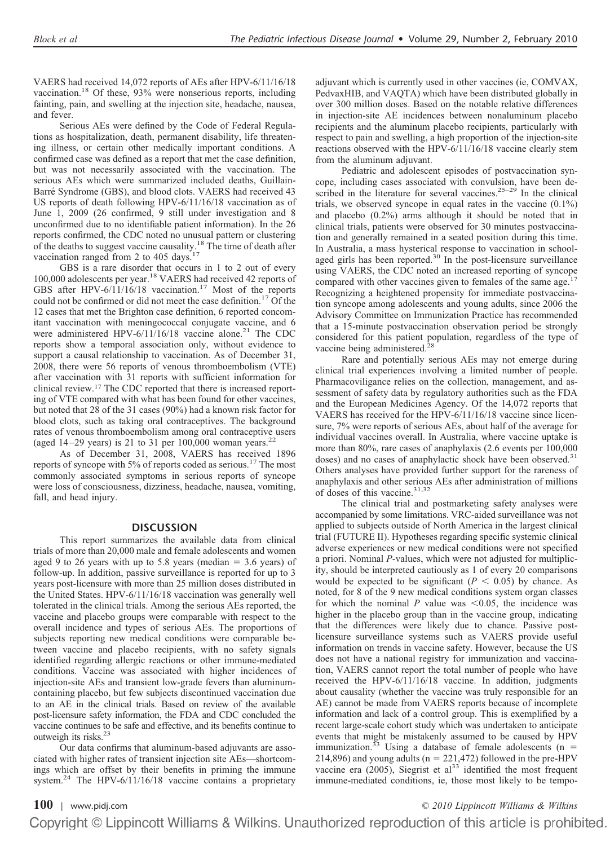VAERS had received 14,072 reports of AEs after HPV-6/11/16/18 vaccination.18 Of these, 93% were nonserious reports, including fainting, pain, and swelling at the injection site, headache, nausea, and fever.

Serious AEs were defined by the Code of Federal Regulations as hospitalization, death, permanent disability, life threatening illness, or certain other medically important conditions. A confirmed case was defined as a report that met the case definition, but was not necessarily associated with the vaccination. The serious AEs which were summarized included deaths, Guillain-Barré Syndrome (GBS), and blood clots. VAERS had received 43 US reports of death following HPV-6/11/16/18 vaccination as of June 1, 2009 (26 confirmed, 9 still under investigation and 8 unconfirmed due to no identifiable patient information). In the 26 reports confirmed, the CDC noted no unusual pattern or clustering of the deaths to suggest vaccine causality.18 The time of death after vaccination ranged from 2 to 405 days.<sup>17</sup>

GBS is a rare disorder that occurs in 1 to 2 out of every 100,000 adolescents per year.18 VAERS had received 42 reports of GBS after HPV-6/11/16/18 vaccination.<sup>17</sup> Most of the reports could not be confirmed or did not meet the case definition.<sup>17</sup> Of the 12 cases that met the Brighton case definition, 6 reported concomitant vaccination with meningococcal conjugate vaccine, and 6 were administered HPV-6/11/16/18 vaccine alone.<sup>21</sup> The CDC reports show a temporal association only, without evidence to support a causal relationship to vaccination. As of December 31, 2008, there were 56 reports of venous thromboembolism (VTE) after vaccination with 31 reports with sufficient information for clinical review.17 The CDC reported that there is increased reporting of VTE compared with what has been found for other vaccines, but noted that 28 of the 31 cases (90%) had a known risk factor for blood clots, such as taking oral contraceptives. The background rates of venous thromboembolism among oral contraceptive users (aged  $14-29$  years) is 21 to 31 per 100,000 woman years.<sup>22</sup>

As of December 31, 2008, VAERS has received 1896 reports of syncope with 5% of reports coded as serious.<sup>17</sup> The most commonly associated symptoms in serious reports of syncope were loss of consciousness, dizziness, headache, nausea, vomiting, fall, and head injury.

### **DISCUSSION**

This report summarizes the available data from clinical trials of more than 20,000 male and female adolescents and women aged 9 to 26 years with up to 5.8 years (median  $=$  3.6 years) of follow-up. In addition, passive surveillance is reported for up to 3 years post-licensure with more than 25 million doses distributed in the United States. HPV-6/11/16/18 vaccination was generally well tolerated in the clinical trials. Among the serious AEs reported, the vaccine and placebo groups were comparable with respect to the overall incidence and types of serious AEs. The proportions of subjects reporting new medical conditions were comparable between vaccine and placebo recipients, with no safety signals identified regarding allergic reactions or other immune-mediated conditions. Vaccine was associated with higher incidences of injection-site AEs and transient low-grade fevers than aluminumcontaining placebo, but few subjects discontinued vaccination due to an AE in the clinical trials. Based on review of the available post-licensure safety information, the FDA and CDC concluded the vaccine continues to be safe and effective, and its benefits continue to outweigh its risks.<sup>23</sup>

Our data confirms that aluminum-based adjuvants are associated with higher rates of transient injection site AEs—shortcomings which are offset by their benefits in priming the immune system.<sup>24</sup> The HPV-6/11/16/18 vaccine contains a proprietary

adjuvant which is currently used in other vaccines (ie, COMVAX, PedvaxHIB, and VAQTA) which have been distributed globally in over 300 million doses. Based on the notable relative differences in injection-site AE incidences between nonaluminum placebo recipients and the aluminum placebo recipients, particularly with respect to pain and swelling, a high proportion of the injection-site reactions observed with the HPV-6/11/16/18 vaccine clearly stem from the aluminum adjuvant.

Pediatric and adolescent episodes of postvaccination syncope, including cases associated with convulsion, have been described in the literature for several vaccines.<sup>25–29</sup> In the clinical trials, we observed syncope in equal rates in the vaccine (0.1%) and placebo (0.2%) arms although it should be noted that in clinical trials, patients were observed for 30 minutes postvaccination and generally remained in a seated position during this time. In Australia, a mass hysterical response to vaccination in schoolaged girls has been reported.<sup>30</sup> In the post-licensure surveillance using VAERS, the CDC noted an increased reporting of syncope compared with other vaccines given to females of the same age.<sup>17</sup> Recognizing a heightened propensity for immediate postvaccination syncope among adolescents and young adults, since 2006 the Advisory Committee on Immunization Practice has recommended that a 15-minute postvaccination observation period be strongly considered for this patient population, regardless of the type of vaccine being administered.<sup>28</sup>

Rare and potentially serious AEs may not emerge during clinical trial experiences involving a limited number of people. Pharmacoviligance relies on the collection, management, and assessment of safety data by regulatory authorities such as the FDA and the European Medicines Agency. Of the 14,072 reports that VAERS has received for the HPV-6/11/16/18 vaccine since licensure, 7% were reports of serious AEs, about half of the average for individual vaccines overall. In Australia, where vaccine uptake is more than 80%, rare cases of anaphylaxis (2.6 events per 100,000 doses) and no cases of anaphylactic shock have been observed.<sup>31</sup> Others analyses have provided further support for the rareness of anaphylaxis and other serious AEs after administration of millions of doses of this vaccine.<sup>31,32</sup>

The clinical trial and postmarketing safety analyses were accompanied by some limitations. VRC-aided surveillance was not applied to subjects outside of North America in the largest clinical trial (FUTURE II). Hypotheses regarding specific systemic clinical adverse experiences or new medical conditions were not specified a priori. Nominal *P*-values, which were not adjusted for multiplicity, should be interpreted cautiously as 1 of every 20 comparisons would be expected to be significant  $(P < 0.05)$  by chance. As noted, for 8 of the 9 new medical conditions system organ classes for which the nominal  $P$  value was  $\leq 0.05$ , the incidence was higher in the placebo group than in the vaccine group, indicating that the differences were likely due to chance. Passive postlicensure surveillance systems such as VAERS provide useful information on trends in vaccine safety. However, because the US does not have a national registry for immunization and vaccination, VAERS cannot report the total number of people who have received the HPV-6/11/16/18 vaccine. In addition, judgments about causality (whether the vaccine was truly responsible for an AE) cannot be made from VAERS reports because of incomplete information and lack of a control group. This is exemplified by a recent large-scale cohort study which was undertaken to anticipate events that might be mistakenly assumed to be caused by HPV immunization.<sup>33</sup> Using a database of female adolescents (n = 214,896) and young adults ( $n = 221,472$ ) followed in the pre-HPV vaccine era (2005), Siegrist et  $al<sup>33</sup>$  identified the most frequent immune-mediated conditions, ie, those most likely to be tempo-

**100** | [www.pidj.com](http://www.pidj.com) *© 2010 Lippincott Williams & Wilkins*

Copyright © Lippincott Williams & Wilkins. Unauthorized reproduction of this article is prohibited.